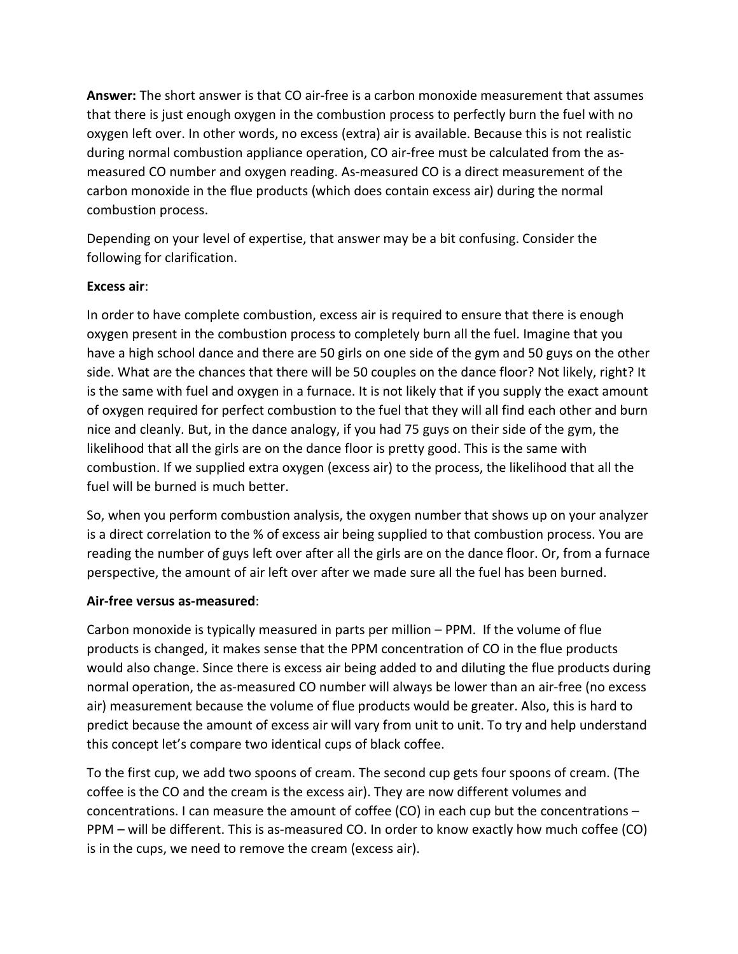**Answer:** The short answer is that CO air-free is a carbon monoxide measurement that assumes that there is just enough oxygen in the combustion process to perfectly burn the fuel with no oxygen left over. In other words, no excess (extra) air is available. Because this is not realistic during normal combustion appliance operation, CO air-free must be calculated from the asmeasured CO number and oxygen reading. As-measured CO is a direct measurement of the carbon monoxide in the flue products (which does contain excess air) during the normal combustion process.

Depending on your level of expertise, that answer may be a bit confusing. Consider the following for clarification.

## **Excess air**:

In order to have complete combustion, excess air is required to ensure that there is enough oxygen present in the combustion process to completely burn all the fuel. Imagine that you have a high school dance and there are 50 girls on one side of the gym and 50 guys on the other side. What are the chances that there will be 50 couples on the dance floor? Not likely, right? It is the same with fuel and oxygen in a furnace. It is not likely that if you supply the exact amount of oxygen required for perfect combustion to the fuel that they will all find each other and burn nice and cleanly. But, in the dance analogy, if you had 75 guys on their side of the gym, the likelihood that all the girls are on the dance floor is pretty good. This is the same with combustion. If we supplied extra oxygen (excess air) to the process, the likelihood that all the fuel will be burned is much better.

So, when you perform combustion analysis, the oxygen number that shows up on your analyzer is a direct correlation to the % of excess air being supplied to that combustion process. You are reading the number of guys left over after all the girls are on the dance floor. Or, from a furnace perspective, the amount of air left over after we made sure all the fuel has been burned.

## **Air-free versus as-measured**:

Carbon monoxide is typically measured in parts per million – PPM. If the volume of flue products is changed, it makes sense that the PPM concentration of CO in the flue products would also change. Since there is excess air being added to and diluting the flue products during normal operation, the as-measured CO number will always be lower than an air-free (no excess air) measurement because the volume of flue products would be greater. Also, this is hard to predict because the amount of excess air will vary from unit to unit. To try and help understand this concept let's compare two identical cups of black coffee.

To the first cup, we add two spoons of cream. The second cup gets four spoons of cream. (The coffee is the CO and the cream is the excess air). They are now different volumes and concentrations. I can measure the amount of coffee (CO) in each cup but the concentrations – PPM – will be different. This is as-measured CO. In order to know exactly how much coffee (CO) is in the cups, we need to remove the cream (excess air).